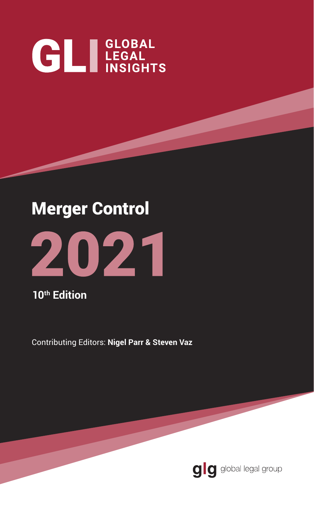# **GL** LEGAL INSIGHTS

# Merger Control



**10th Edition**

Contributing Editors: **Nigel Parr & Steven Vaz**

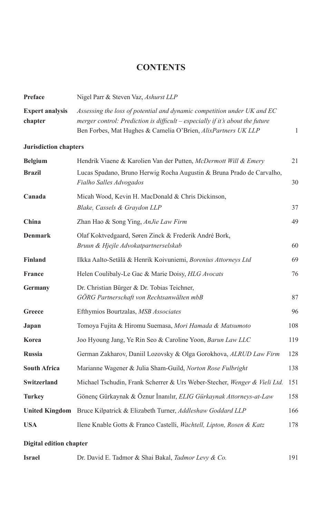### **CONTENTS**

| Preface                           | Nigel Parr & Steven Vaz, Ashurst LLP                                                                                                                                                                                      |              |
|-----------------------------------|---------------------------------------------------------------------------------------------------------------------------------------------------------------------------------------------------------------------------|--------------|
| <b>Expert analysis</b><br>chapter | Assessing the loss of potential and dynamic competition under UK and EC<br>merger control: Prediction is difficult – especially if it's about the future<br>Ben Forbes, Mat Hughes & Camelia O'Brien, AlixPartners UK LLP | $\mathbf{1}$ |
| <b>Jurisdiction chapters</b>      |                                                                                                                                                                                                                           |              |
| <b>Belgium</b>                    | Hendrik Viaene & Karolien Van der Putten, McDermott Will & Emery                                                                                                                                                          | 21           |
| <b>Brazil</b>                     | Lucas Spadano, Bruno Herwig Rocha Augustin & Bruna Prado de Carvalho,<br>Fialho Salles Advogados                                                                                                                          | 30           |
| Canada                            | Micah Wood, Kevin H. MacDonald & Chris Dickinson,                                                                                                                                                                         |              |
|                                   | Blake, Cassels & Graydon LLP                                                                                                                                                                                              | 37           |
| China                             | Zhan Hao & Song Ying, AnJie Law Firm                                                                                                                                                                                      | 49           |
| <b>Denmark</b>                    | Olaf Koktvedgaard, Søren Zinck & Frederik André Bork,<br>Bruun & Hjejle Advokatpartnerselskab                                                                                                                             | 60           |
| <b>Finland</b>                    | Ilkka Aalto-Setälä & Henrik Koivuniemi, Borenius Attorneys Ltd                                                                                                                                                            | 69           |
| <b>France</b>                     | Helen Coulibaly-Le Gac & Marie Doisy, HLG Avocats                                                                                                                                                                         | 76           |
| <b>Germany</b>                    | Dr. Christian Bürger & Dr. Tobias Teichner,<br>GÖRG Partnerschaft von Rechtsanwälten mbB                                                                                                                                  | 87           |
| Greece                            | Efthymios Bourtzalas, MSB Associates                                                                                                                                                                                      | 96           |
| Japan                             | Tomoya Fujita & Hiromu Suemasa, Mori Hamada & Matsumoto                                                                                                                                                                   | 108          |
| Korea                             | Joo Hyoung Jang, Ye Rin Seo & Caroline Yoon, Barun Law LLC                                                                                                                                                                | 119          |
| <b>Russia</b>                     | German Zakharov, Daniil Lozovsky & Olga Gorokhova, ALRUD Law Firm                                                                                                                                                         | 128          |
| <b>South Africa</b>               | Marianne Wagener & Julia Sham-Guild, Norton Rose Fulbright                                                                                                                                                                | 138          |
| Switzerland                       | Michael Tschudin, Frank Scherrer & Urs Weber-Stecher, Wenger & Vieli Ltd.                                                                                                                                                 | 151          |
| <b>Turkey</b>                     | Gönenç Gürkaynak & Öznur İnanılır, ELIG Gürkaynak Attorneys-at-Law                                                                                                                                                        | 158          |
| <b>United Kingdom</b>             | Bruce Kilpatrick & Elizabeth Turner, Addleshaw Goddard LLP                                                                                                                                                                | 166          |
| <b>USA</b>                        | Ilene Knable Gotts & Franco Castelli, <i>Wachtell, Lipton, Rosen &amp; Katz</i>                                                                                                                                           | 178          |
| <b>Digital edition chapter</b>    |                                                                                                                                                                                                                           |              |
| <b>Israel</b>                     | Dr. David E. Tadmor & Shai Bakal, Tadmor Levy & Co.                                                                                                                                                                       | 191          |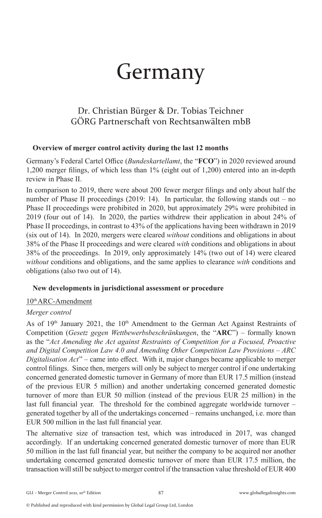# Germany

## Dr. Christian Bürger & Dr. Tobias Teichner GÖRG Partnerschaft von Rechtsanwälten mbB

#### **Overview of merger control activity during the last 12 months**

Germany's Federal Cartel Office (*Bundeskartellamt*, the "**FCO**") in 2020 reviewed around 1,200 merger filings, of which less than 1% (eight out of 1,200) entered into an in-depth review in Phase II.

In comparison to 2019, there were about 200 fewer merger filings and only about half the number of Phase II proceedings (2019: 14). In particular, the following stands out – no Phase II proceedings were prohibited in 2020, but approximately 29% were prohibited in 2019 (four out of 14). In 2020, the parties withdrew their application in about 24% of Phase II proceedings, in contrast to 43% of the applications having been withdrawn in 2019 (six out of 14). In 2020, mergers were cleared *without* conditions and obligations in about 38% of the Phase II proceedings and were cleared *with* conditions and obligations in about 38% of the proceedings. In 2019, only approximately 14% (two out of 14) were cleared *without* conditions and obligations, and the same applies to clearance *with* conditions and obligations (also two out of 14).

#### **New developments in jurisdictional assessment or procedure**

#### 10<sup>th</sup> ARC-Amendment

#### *Merger control*

As of  $19<sup>th</sup>$  January 2021, the  $10<sup>th</sup>$  Amendment to the German Act Against Restraints of Competition (*Gesetz gegen Wettbewerbsbeschränkungen*, the "**ARC**") – formally known as the "*Act Amending the Act against Restraints of Competition for a Focused, Proactive and Digital Competition Law 4.0 and Amending Other Competition Law Provisions – ARC Digitalisation Act*" – came into effect. With it, major changes became applicable to merger control filings. Since then, mergers will only be subject to merger control if one undertaking concerned generated domestic turnover in Germany of more than EUR 17.5 million (instead of the previous EUR 5 million) and another undertaking concerned generated domestic turnover of more than EUR 50 million (instead of the previous EUR 25 million) in the last full financial year. The threshold for the combined aggregate worldwide turnover – generated together by all of the undertakings concerned – remains unchanged, i.e. more than EUR 500 million in the last full financial year.

The alternative size of transaction test, which was introduced in 2017, was changed accordingly. If an undertaking concerned generated domestic turnover of more than EUR 50 million in the last full financial year, but neither the company to be acquired nor another undertaking concerned generated domestic turnover of more than EUR 17.5 million, the transaction will still be subject to merger control if the transaction value threshold of EUR 400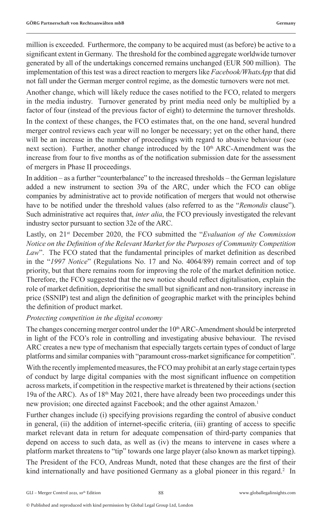million is exceeded. Furthermore, the company to be acquired must (as before) be active to a significant extent in Germany. The threshold for the combined aggregate worldwide turnover generated by all of the undertakings concerned remains unchanged (EUR 500 million). The implementation of this test was a direct reaction to mergers like *Facebook/WhatsApp* that did not fall under the German merger control regime, as the domestic turnovers were not met.

Another change, which will likely reduce the cases notified to the FCO, related to mergers in the media industry. Turnover generated by print media need only be multiplied by a factor of four (instead of the previous factor of eight) to determine the turnover thresholds.

In the context of these changes, the FCO estimates that, on the one hand, several hundred merger control reviews each year will no longer be necessary; yet on the other hand, there will be an increase in the number of proceedings with regard to abusive behaviour (see next section). Further, another change introduced by the  $10<sup>th</sup>$  ARC-Amendment was the increase from four to five months as of the notification submission date for the assessment of mergers in Phase II proceedings.

In addition – as a further "counterbalance" to the increased thresholds – the German legislature added a new instrument to section 39a of the ARC, under which the FCO can oblige companies by administrative act to provide notification of mergers that would not otherwise have to be notified under the threshold values (also referred to as the "*Remondis* clause"). Such administrative act requires that, *inter alia*, the FCO previously investigated the relevant industry sector pursuant to section 32e of the ARC.

Lastly, on 21st December 2020, the FCO submitted the "*Evaluation of the Commission Notice on the Definition of the Relevant Market for the Purposes of Community Competition*  Law". The FCO stated that the fundamental principles of market definition as described in the "*1997 Notice*" (Regulations No. 17 and No. 4064/89) remain correct and of top priority, but that there remains room for improving the role of the market definition notice. Therefore, the FCO suggested that the new notice should reflect digitalisation, explain the role of market definition, deprioritise the small but significant and non-transitory increase in price (SSNIP) test and align the definition of geographic market with the principles behind the definition of product market.

#### *Protecting competition in the digital economy*

The changes concerning merger control under the  $10<sup>th</sup>$  ARC-Amendment should be interpreted in light of the FCO's role in controlling and investigating abusive behaviour. The revised ARC creates a new type of mechanism that especially targets certain types of conduct of large platforms and similar companies with "paramount cross-market significance for competition".

With the recently implemented measures, the FCO may prohibit at an early stage certain types of conduct by large digital companies with the most significant influence on competition across markets, if competition in the respective market is threatened by their actions (section 19a of the ARC). As of 18<sup>th</sup> May 2021, there have already been two proceedings under this new provision; one directed against Facebook; and the other against Amazon.<sup>1</sup>

Further changes include (i) specifying provisions regarding the control of abusive conduct in general, (ii) the addition of internet-specific criteria, (iii) granting of access to specific market relevant data in return for adequate compensation of third-party companies that depend on access to such data, as well as (iv) the means to intervene in cases where a platform market threatens to "tip" towards one large player (also known as market tipping).

The President of the FCO, Andreas Mundt, noted that these changes are the first of their kind internationally and have positioned Germany as a global pioneer in this regard.<sup>2</sup> In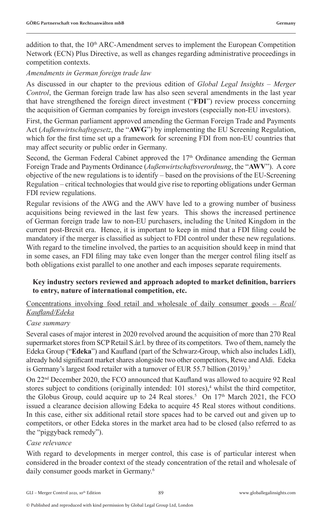addition to that, the  $10<sup>th</sup>$  ARC-Amendment serves to implement the European Competition Network (ECN) Plus Directive, as well as changes regarding administrative proceedings in competition contexts.

#### *Amendments in German foreign trade law*

As discussed in our chapter to the previous edition of *Global Legal Insights – Merger Control*, the German foreign trade law has also seen several amendments in the last year that have strengthened the foreign direct investment ("**FDI**") review process concerning the acquisition of German companies by foreign investors (especially non-EU investors).

First, the German parliament approved amending the German Foreign Trade and Payments Act (*Außenwirtschaftsgesetz*, the "**AWG**") by implementing the EU Screening Regulation, which for the first time set up a framework for screening FDI from non-EU countries that may affect security or public order in Germany.

Second, the German Federal Cabinet approved the  $17<sup>th</sup>$  Ordinance amending the German Foreign Trade and Payments Ordinance (*Außenwirtschaftsverordnung*, the "**AWV**"). A core objective of the new regulations is to identify – based on the provisions of the EU-Screening Regulation – critical technologies that would give rise to reporting obligations under German FDI review regulations.

Regular revisions of the AWG and the AWV have led to a growing number of business acquisitions being reviewed in the last few years. This shows the increased pertinence of German foreign trade law to non-EU purchasers, including the United Kingdom in the current post-Brexit era. Hence, it is important to keep in mind that a FDI filing could be mandatory if the merger is classified as subject to FDI control under these new regulations. With regard to the timeline involved, the parties to an acquisition should keep in mind that in some cases, an FDI filing may take even longer than the merger control filing itself as both obligations exist parallel to one another and each imposes separate requirements.

#### **Key industry sectors reviewed and approach adopted to market definition, barriers to entry, nature of international competition, etc.**

#### Concentrations involving food retail and wholesale of daily consumer goods – *Real/ Kaufland/Edeka*

#### *Case summary*

Several cases of major interest in 2020 revolved around the acquisition of more than 270 Real supermarket stores from SCP Retail S.àr.l. by three of its competitors. Two of them, namely the Edeka Group ("**Edeka**") and Kaufland (part of the Schwarz-Group, which also includes Lidl), already hold significant market shares alongside two other competitors, Rewe and Aldi. Edeka is Germany's largest food retailer with a turnover of EUR 55.7 billion (2019).<sup>3</sup>

On 22nd December 2020, the FCO announced that Kaufland was allowed to acquire 92 Real stores subject to conditions (originally intended: 101 stores),<sup>4</sup> whilst the third competitor, the Globus Group, could acquire up to 24 Real stores.<sup>5</sup> On  $17<sup>th</sup>$  March 2021, the FCO issued a clearance decision allowing Edeka to acquire 45 Real stores without conditions. In this case, either six additional retail store spaces had to be carved out and given up to competitors, or other Edeka stores in the market area had to be closed (also referred to as the "piggyback remedy").

#### *Case relevance*

With regard to developments in merger control, this case is of particular interest when considered in the broader context of the steady concentration of the retail and wholesale of daily consumer goods market in Germany.<sup>6</sup>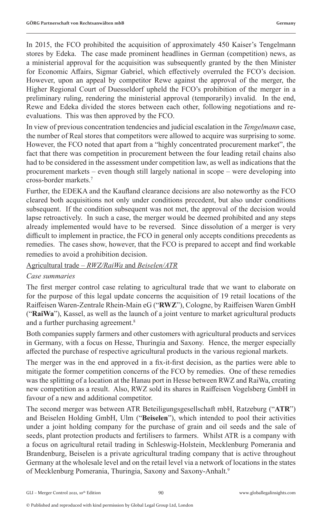In 2015, the FCO prohibited the acquisition of approximately 450 Kaiser's Tengelmann stores by Edeka. The case made prominent headlines in German (competition) news, as a ministerial approval for the acquisition was subsequently granted by the then Minister for Economic Affairs, Sigmar Gabriel, which effectively overruled the FCO's decision. However, upon an appeal by competitor Rewe against the approval of the merger, the Higher Regional Court of Duesseldorf upheld the FCO's prohibition of the merger in a preliminary ruling, rendering the ministerial approval (temporarily) invalid. In the end, Rewe and Edeka divided the stores between each other, following negotiations and reevaluations. This was then approved by the FCO.

In view of previous concentration tendencies and judicial escalation in the *Tengelmann* case, the number of Real stores that competitors were allowed to acquire was surprising to some. However, the FCO noted that apart from a "highly concentrated procurement market", the fact that there was competition in procurement between the four leading retail chains also had to be considered in the assessment under competition law, as well as indications that the procurement markets – even though still largely national in scope – were developing into cross-border markets.7

Further, the EDEKA and the Kaufland clearance decisions are also noteworthy as the FCO cleared both acquisitions not only under conditions precedent, but also under conditions subsequent. If the condition subsequent was not met, the approval of the decision would lapse retroactively. In such a case, the merger would be deemed prohibited and any steps already implemented would have to be reversed. Since dissolution of a merger is very difficult to implement in practice, the FCO in general only accepts conditions precedents as remedies. The cases show, however, that the FCO is prepared to accept and find workable remedies to avoid a prohibition decision.

Agricultural trade – *RWZ/RaiWa* and *Beiselen/ATR*

#### *Case summaries*

The first merger control case relating to agricultural trade that we want to elaborate on for the purpose of this legal update concerns the acquisition of 19 retail locations of the Raiffeisen Waren-Zentrale Rhein-Main eG ("**RWZ**"), Cologne, by Raiffeisen Waren GmbH ("**RaiWa**"), Kassel, as well as the launch of a joint venture to market agricultural products and a further purchasing agreement.8

Both companies supply farmers and other customers with agricultural products and services in Germany, with a focus on Hesse, Thuringia and Saxony. Hence, the merger especially affected the purchase of respective agricultural products in the various regional markets.

The merger was in the end approved in a fix-it-first decision, as the parties were able to mitigate the former competition concerns of the FCO by remedies. One of these remedies was the splitting of a location at the Hanau port in Hesse between RWZ and RaiWa, creating new competition as a result. Also, RWZ sold its shares in Raiffeisen Vogelsberg GmbH in favour of a new and additional competitor.

The second merger was between ATR Beteiligungsgesellschaft mbH, Ratzeburg ("**ATR**") and Beiselen Holding GmbH, Ulm ("**Beiselen**"), which intended to pool their activities under a joint holding company for the purchase of grain and oil seeds and the sale of seeds, plant protection products and fertilisers to farmers. Whilst ATR is a company with a focus on agricultural retail trading in Schleswig-Holstein, Mecklenburg Pomerania and Brandenburg, Beiselen is a private agricultural trading company that is active throughout Germany at the wholesale level and on the retail level via a network of locations in the states of Mecklenburg Pomerania, Thuringia, Saxony and Saxony-Anhalt.<sup>9</sup>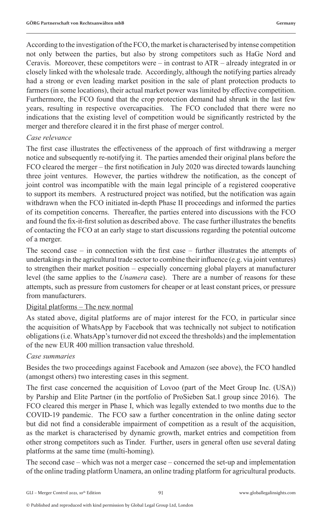According to the investigation of the FCO, the market is characterised by intense competition not only between the parties, but also by strong competitors such as HaGe Nord and Ceravis. Moreover, these competitors were  $-$  in contrast to  $ATR -$  already integrated in or closely linked with the wholesale trade. Accordingly, although the notifying parties already had a strong or even leading market position in the sale of plant protection products to farmers (in some locations), their actual market power was limited by effective competition. Furthermore, the FCO found that the crop protection demand had shrunk in the last few years, resulting in respective overcapacities. The FCO concluded that there were no indications that the existing level of competition would be significantly restricted by the merger and therefore cleared it in the first phase of merger control.

#### *Case relevance*

The first case illustrates the effectiveness of the approach of first withdrawing a merger notice and subsequently re-notifying it. The parties amended their original plans before the FCO cleared the merger – the first notification in July 2020 was directed towards launching three joint ventures. However, the parties withdrew the notification, as the concept of joint control was incompatible with the main legal principle of a registered cooperative to support its members. A restructured project was notified, but the notification was again withdrawn when the FCO initiated in-depth Phase II proceedings and informed the parties of its competition concerns. Thereafter, the parties entered into discussions with the FCO and found the fix-it-first solution as described above. The case further illustrates the benefits of contacting the FCO at an early stage to start discussions regarding the potential outcome of a merger.

The second case – in connection with the first case – further illustrates the attempts of undertakings in the agricultural trade sector to combine their influence (e.g. via joint ventures) to strengthen their market position – especially concerning global players at manufacturer level (the same applies to the *Unamera* case). There are a number of reasons for these attempts, such as pressure from customers for cheaper or at least constant prices, or pressure from manufacturers.

#### Digital platforms – The new normal

As stated above, digital platforms are of major interest for the FCO, in particular since the acquisition of WhatsApp by Facebook that was technically not subject to notification obligations (i.e. WhatsApp's turnover did not exceed the thresholds) and the implementation of the new EUR 400 million transaction value threshold.

#### *Case summaries*

Besides the two proceedings against Facebook and Amazon (see above), the FCO handled (amongst others) two interesting cases in this segment.

The first case concerned the acquisition of Lovoo (part of the Meet Group Inc. (USA)) by Parship and Elite Partner (in the portfolio of ProSieben Sat.1 group since 2016). The FCO cleared this merger in Phase I, which was legally extended to two months due to the COVID-19 pandemic. The FCO saw a further concentration in the online dating sector but did not find a considerable impairment of competition as a result of the acquisition, as the market is characterised by dynamic growth, market entries and competition from other strong competitors such as Tinder. Further, users in general often use several dating platforms at the same time (multi-homing).

The second case – which was not a merger case – concerned the set-up and implementation of the online trading platform Unamera, an online trading platform for agricultural products.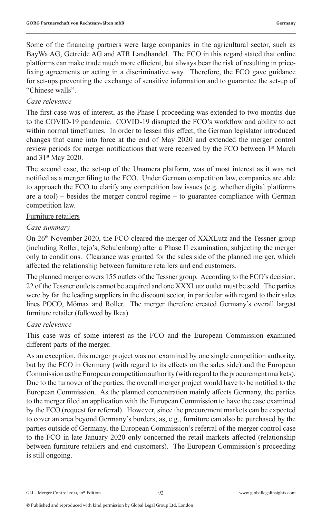Some of the financing partners were large companies in the agricultural sector, such as BayWa AG, Getreide AG and ATR Landhandel. The FCO in this regard stated that online platforms can make trade much more efficient, but always bear the risk of resulting in pricefixing agreements or acting in a discriminative way. Therefore, the FCO gave guidance for set-ups preventing the exchange of sensitive information and to guarantee the set-up of "Chinese walls".

#### *Case relevance*

The first case was of interest, as the Phase I proceeding was extended to two months due to the COVID-19 pandemic. COVID-19 disrupted the FCO's workflow and ability to act within normal timeframes. In order to lessen this effect, the German legislator introduced changes that came into force at the end of May 2020 and extended the merger control review periods for merger notifications that were received by the FCO between 1<sup>st</sup> March and 31st May 2020.

The second case, the set-up of the Unamera platform, was of most interest as it was not notified as a merger filing to the FCO. Under German competition law, companies are able to approach the FCO to clarify any competition law issues (e.g. whether digital platforms are a tool) – besides the merger control regime – to guarantee compliance with German competition law.

#### Furniture retailers

#### *Case summary*

On 26<sup>th</sup> November 2020, the FCO cleared the merger of XXXLutz and the Tessner group (including Roller, tejo's, Schulenburg) after a Phase II examination, subjecting the merger only to conditions. Clearance was granted for the sales side of the planned merger, which affected the relationship between furniture retailers and end customers.

The planned merger covers 155 outlets of the Tessner group. According to the FCO's decision, 22 of the Tessner outlets cannot be acquired and one XXXLutz outlet must be sold. The parties were by far the leading suppliers in the discount sector, in particular with regard to their sales lines POCO, Mömax and Roller. The merger therefore created Germany's overall largest furniture retailer (followed by Ikea).

#### *Case relevance*

This case was of some interest as the FCO and the European Commission examined different parts of the merger.

As an exception, this merger project was not examined by one single competition authority, but by the FCO in Germany (with regard to its effects on the sales side) and the European Commission as the European competition authority (with regard to the procurement markets). Due to the turnover of the parties, the overall merger project would have to be notified to the European Commission. As the planned concentration mainly affects Germany, the parties to the merger filed an application with the European Commission to have the case examined by the FCO (request for referral). However, since the procurement markets can be expected to cover an area beyond Germany's borders, as, e.g., furniture can also be purchased by the parties outside of Germany, the European Commission's referral of the merger control case to the FCO in late January 2020 only concerned the retail markets affected (relationship between furniture retailers and end customers). The European Commission's proceeding is still ongoing.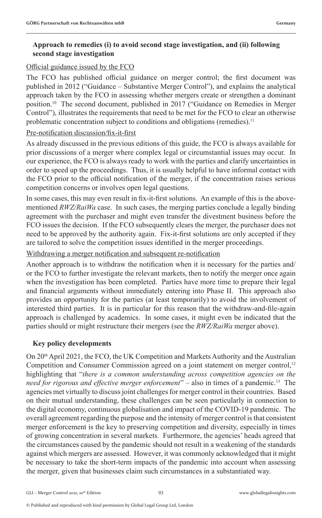#### **Approach to remedies (i) to avoid second stage investigation, and (ii) following second stage investigation**

#### Official guidance issued by the FCO

The FCO has published official guidance on merger control; the first document was published in 2012 ("Guidance – Substantive Merger Control"), and explains the analytical approach taken by the FCO in assessing whether mergers create or strengthen a dominant position.10 The second document, published in 2017 ("Guidance on Remedies in Merger Control"), illustrates the requirements that need to be met for the FCO to clear an otherwise problematic concentration subject to conditions and obligations (remedies).<sup>11</sup>

#### Pre-notification discussion/fix-it-first

As already discussed in the previous editions of this guide, the FCO is always available for prior discussions of a merger where complex legal or circumstantial issues may occur. In our experience, the FCO is always ready to work with the parties and clarify uncertainties in order to speed up the proceedings. Thus, it is usually helpful to have informal contact with the FCO prior to the official notification of the merger, if the concentration raises serious competition concerns or involves open legal questions.

In some cases, this may even result in fix-it-first solutions. An example of this is the abovementioned *RWZ/RaiWa* case. In such cases, the merging parties conclude a legally binding agreement with the purchaser and might even transfer the divestment business before the FCO issues the decision. If the FCO subsequently clears the merger, the purchaser does not need to be approved by the authority again. Fix-it-first solutions are only accepted if they are tailored to solve the competition issues identified in the merger proceedings.

#### Withdrawing a merger notification and subsequent re-notification

Another approach is to withdraw the notification when it is necessary for the parties and/ or the FCO to further investigate the relevant markets, then to notify the merger once again when the investigation has been completed. Parties have more time to prepare their legal and financial arguments without immediately entering into Phase II. This approach also provides an opportunity for the parties (at least temporarily) to avoid the involvement of interested third parties. It is in particular for this reason that the withdraw-and-file-again approach is challenged by academics. In some cases, it might even be indicated that the parties should or might restructure their mergers (see the *RWZ/RaiWa* merger above).

#### **Key policy developments**

On 20th April 2021, the FCO, the UK Competition and Markets Authority and the Australian Competition and Consumer Commission agreed on a joint statement on merger control,<sup>12</sup> highlighting that "*there is a common understanding across competition agencies on the need for rigorous and effective merger enforcement*" – also in times of a pandemic.13 The agencies met virtually to discuss joint challenges for merger control in their countries. Based on their mutual understanding, these challenges can be seen particularly in connection to the digital economy, continuous globalisation and impact of the COVID-19 pandemic. The overall agreement regarding the purpose and the intensity of merger control is that consistent merger enforcement is the key to preserving competition and diversity, especially in times of growing concentration in several markets. Furthermore, the agencies' heads agreed that the circumstances caused by the pandemic should not result in a weakening of the standards against which mergers are assessed. However, it was commonly acknowledged that it might be necessary to take the short-term impacts of the pandemic into account when assessing the merger, given that businesses claim such circumstances in a substantiated way.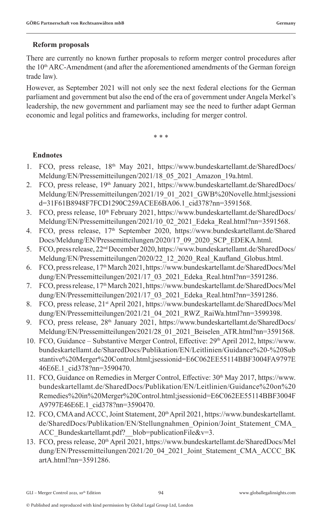#### **Reform proposals**

There are currently no known further proposals to reform merger control procedures after the  $10<sup>th</sup>$  ARC-Amendment (and after the aforementioned amendments of the German foreign trade law).

However, as September 2021 will not only see the next federal elections for the German parliament and government but also the end of the era of government under Angela Merkel's leadership, the new government and parliament may see the need to further adapt German economic and legal politics and frameworks, including for merger control.

\* \* \*

#### **Endnotes**

- 1. FCO, press release, 18<sup>th</sup> May 2021, https://www.bundeskartellamt.de/SharedDocs/ Meldung/EN/Pressemitteilungen/2021/18\_05\_2021\_Amazon\_19a.html.
- 2. FCO, press release, 19<sup>th</sup> January 2021, https://www.bundeskartellamt.de/SharedDocs/ Meldung/EN/Pressemitteilungen/2021/19\_01\_2021\_GWB%20Novelle.html;jsessioni d=31F61B8948F7FCD1290C259ACEE6BA06.1\_cid378?nn=3591568.
- 3. FCO, press release, 10<sup>th</sup> February 2021, https://www.bundeskartellamt.de/SharedDocs/ Meldung/EN/Pressemitteilungen/2021/10\_02\_2021\_Edeka\_Real.html?nn=3591568.
- 4. FCO, press release, 17<sup>th</sup> September 2020, https://www.bundeskartellamt.de/Shared Docs/Meldung/EN/Pressemitteilungen/2020/17\_09\_2020\_SCP\_EDEKA.html.
- 5. FCO, press release, 22nd December 2020, https://www.bundeskartellamt.de/SharedDocs/ Meldung/EN/Pressemitteilungen/2020/22\_12\_2020\_Real\_Kaufland\_Globus.html.
- 6. FCO, press release, 17th March 2021, https://www.bundeskartellamt.de/SharedDocs/Mel dung/EN/Pressemitteilungen/2021/17\_03\_2021\_Edeka\_Real.html?nn=3591286.
- 7. FCO, press release, 17th March 2021, https://www.bundeskartellamt.de/SharedDocs/Mel dung/EN/Pressemitteilungen/2021/17\_03\_2021\_Edeka\_Real.html?nn=3591286.
- 8. FCO, press release, 21<sup>st</sup> April 2021, https://www.bundeskartellamt.de/SharedDocs/Mel dung/EN/Pressemitteilungen/2021/21\_04\_2021\_RWZ\_RaiWa.html?nn=3599398.
- 9. FCO, press release, 28<sup>th</sup> January 2021, https://www.bundeskartellamt.de/SharedDocs/ Meldung/EN/Pressemitteilungen/2021/28\_01\_2021\_Beiselen\_ATR.html?nn=3591568.
- 10. FCO, Guidance Substantive Merger Control, Effective: 29th April 2012, https://www. bundeskartellamt.de/SharedDocs/Publikation/EN/Leitlinien/Guidance%20-%20Sub stantive%20Merger%20Control.html;jsessionid=E6C062EE55114BBF3004FA9797E 46E6E.1\_cid378?nn=3590470.
- 11. FCO, Guidance on Remedies in Merger Control, Effective: 30<sup>th</sup> May 2017, https://www. bundeskartellamt.de/SharedDocs/Publikation/EN/Leitlinien/Guidance%20on%20 Remedies%20in%20Merger%20Control.html;jsessionid=E6C062EE55114BBF3004F A9797E46E6E.1\_cid378?nn=3590470.
- 12. FCO, CMA and ACCC, Joint Statement, 20<sup>th</sup> April 2021, https://www.bundeskartellamt. de/SharedDocs/Publikation/EN/Stellungnahmen\_Opinion/Joint\_Statement\_CMA\_ ACC\_Bundeskartellamt.pdf?\_blob=publicationFile&v=3.
- 13. FCO, press release, 20th April 2021, https://www.bundeskartellamt.de/SharedDocs/Mel dung/EN/Pressemitteilungen/2021/20\_04\_2021\_Joint\_Statement\_CMA\_ACCC\_BK artA.html?nn=3591286.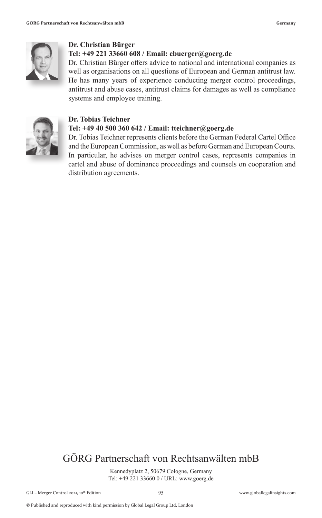

#### **Dr. Christian Bürger**

#### **Tel: +49 221 33660 608 / Email: cbuerger@goerg.de**

Dr. Christian Bürger offers advice to national and international companies as well as organisations on all questions of European and German antitrust law. He has many years of experience conducting merger control proceedings, antitrust and abuse cases, antitrust claims for damages as well as compliance systems and employee training.



#### **Dr. Tobias Teichner**

#### **Tel: +49 40 500 360 642 / Email: tteichner@goerg.de**

Dr. Tobias Teichner represents clients before the German Federal Cartel Office and the European Commission, as well as before German and European Courts. In particular, he advises on merger control cases, represents companies in cartel and abuse of dominance proceedings and counsels on cooperation and distribution agreements.

## GÖRG Partnerschaft von Rechtsanwälten mbB

Kennedyplatz 2, 50679 Cologne, Germany Tel: +49 221 33660 0 / URL: www.goerg.de